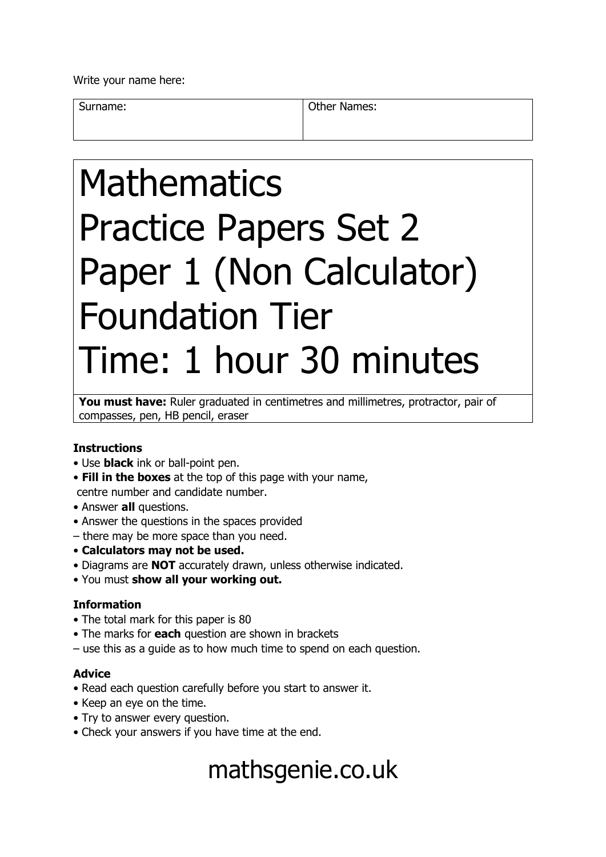Write your name here:

Surname: **Other Names: Other Names:** 

# Mathematics Practice Papers Set 2 Paper 1 (Non Calculator) Foundation Tier Time: 1 hour 30 minutes

You must have: Ruler graduated in centimetres and millimetres, protractor, pair of compasses, pen, HB pencil, eraser

## **Instructions**

- Use **black** ink or ball-point pen.
- **Fill in the boxes** at the top of this page with your name, centre number and candidate number.
- Answer **all** questions.
- Answer the questions in the spaces provided
- there may be more space than you need.
- **Calculators may not be used.**
- Diagrams are **NOT** accurately drawn, unless otherwise indicated.
- You must **show all your working out.**

## **Information**

- The total mark for this paper is 80
- The marks for **each** question are shown in brackets
- use this as a guide as to how much time to spend on each question.

## **Advice**

- Read each question carefully before you start to answer it.
- Keep an eye on the time.
- Try to answer every question.
- Check your answers if you have time at the end.

# mathsgenie.co.uk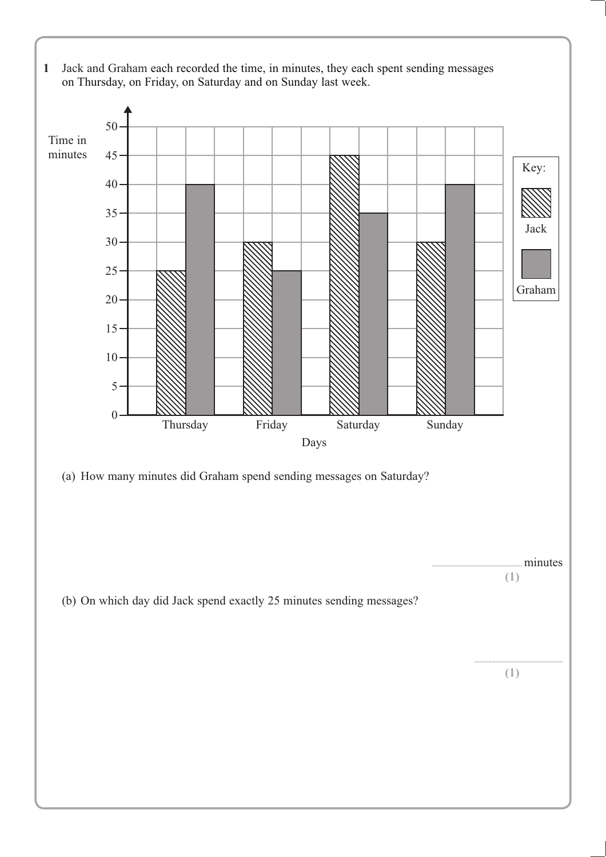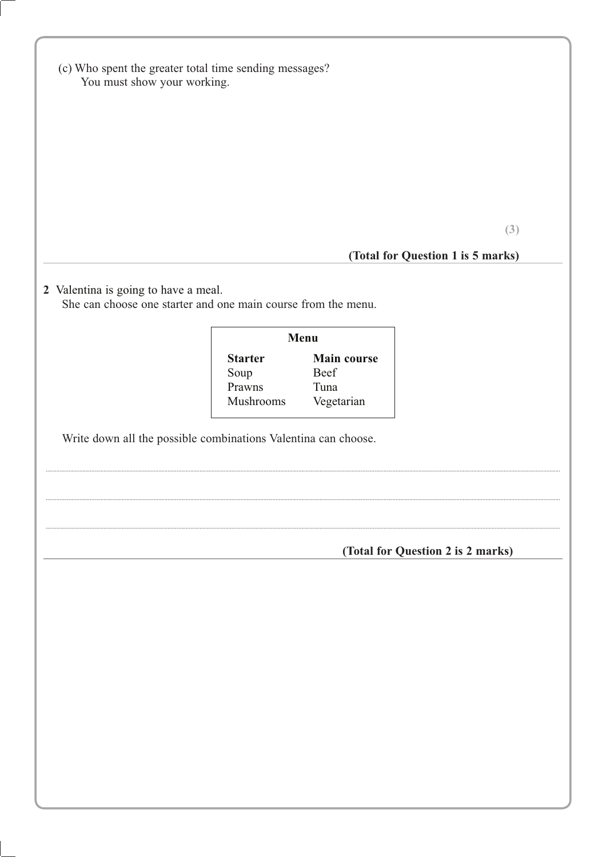|                                      | You must show your working.                                    |                     |                                   |
|--------------------------------------|----------------------------------------------------------------|---------------------|-----------------------------------|
|                                      |                                                                |                     |                                   |
|                                      |                                                                |                     |                                   |
|                                      |                                                                |                     |                                   |
|                                      |                                                                |                     |                                   |
|                                      |                                                                |                     |                                   |
|                                      |                                                                |                     | (3)                               |
|                                      |                                                                |                     | (Total for Question 1 is 5 marks) |
| 2 Valentina is going to have a meal. |                                                                |                     |                                   |
|                                      | She can choose one starter and one main course from the menu.  |                     |                                   |
|                                      |                                                                | Menu                |                                   |
|                                      | <b>Starter</b>                                                 | Main course<br>Beef |                                   |
|                                      | Soup<br>Prawns                                                 | Tuna                |                                   |
|                                      | Mushrooms                                                      | Vegetarian          |                                   |
|                                      |                                                                |                     |                                   |
|                                      | Write down all the possible combinations Valentina can choose. |                     |                                   |
|                                      |                                                                |                     | (Total for Question 2 is 2 marks) |
|                                      |                                                                |                     |                                   |
|                                      |                                                                |                     |                                   |
|                                      |                                                                |                     |                                   |
|                                      |                                                                |                     |                                   |
|                                      |                                                                |                     |                                   |
|                                      |                                                                |                     |                                   |
|                                      |                                                                |                     |                                   |
|                                      |                                                                |                     |                                   |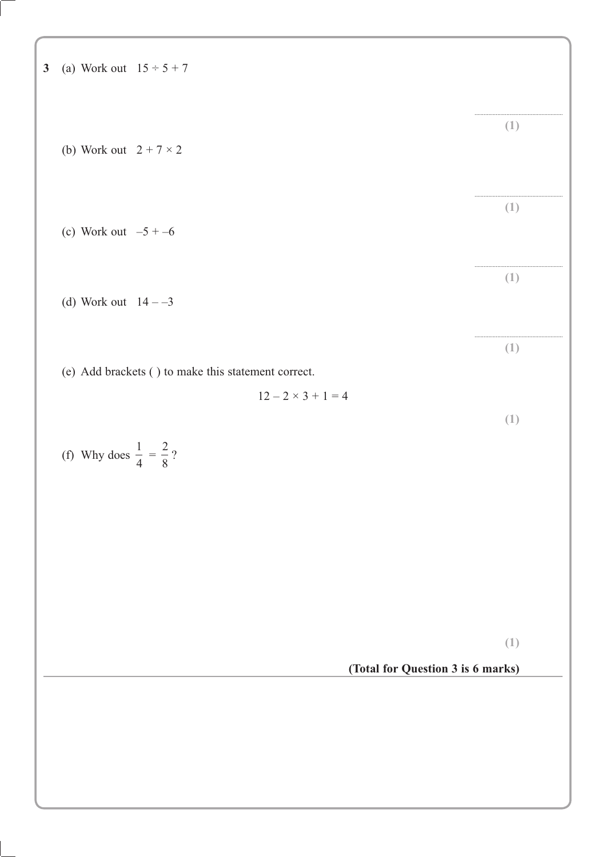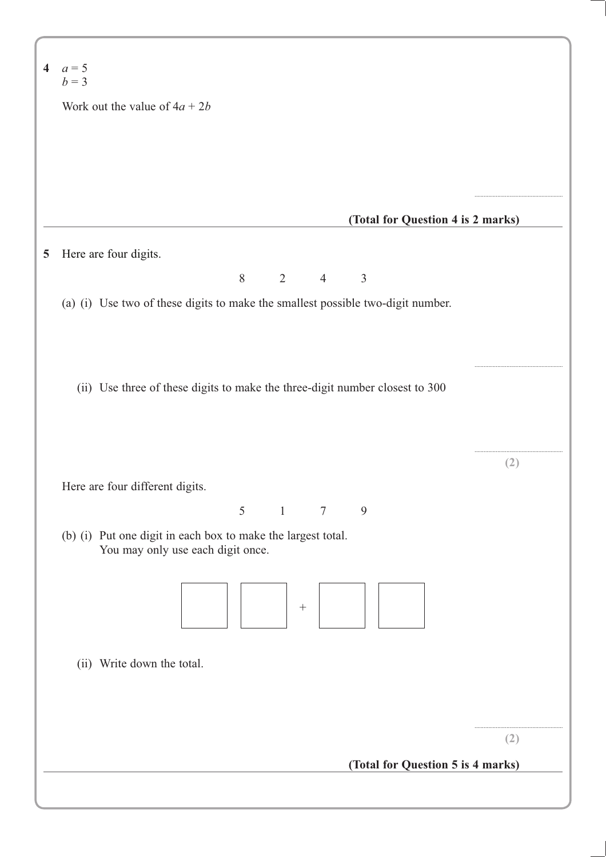|   | 4 $a=5$<br>$b=3$                                                                |     |
|---|---------------------------------------------------------------------------------|-----|
|   | Work out the value of $4a + 2b$                                                 |     |
|   |                                                                                 |     |
|   |                                                                                 |     |
|   |                                                                                 |     |
|   | (Total for Question 4 is 2 marks)                                               |     |
|   |                                                                                 |     |
| 5 | Here are four digits.                                                           |     |
|   | 8<br>$\overline{2}$<br>$\overline{4}$<br>$\mathfrak{Z}$                         |     |
|   | (a) (i) Use two of these digits to make the smallest possible two-digit number. |     |
|   |                                                                                 |     |
|   |                                                                                 |     |
|   | (ii) Use three of these digits to make the three-digit number closest to 300    |     |
|   |                                                                                 |     |
|   |                                                                                 |     |
|   |                                                                                 | (2) |
|   | Here are four different digits.                                                 |     |
|   | 5<br>$\mathbf{1}$<br>$\overline{7}$<br>9                                        |     |
|   | (b) (i) Put one digit in each box to make the largest total.                    |     |
|   | You may only use each digit once.                                               |     |
|   |                                                                                 |     |
|   | $\boldsymbol{+}$                                                                |     |
|   |                                                                                 |     |
|   | (ii) Write down the total.                                                      |     |
|   |                                                                                 |     |
|   |                                                                                 |     |
|   |                                                                                 |     |
|   |                                                                                 |     |
|   |                                                                                 |     |
|   | (Total for Question 5 is 4 marks)                                               | (2) |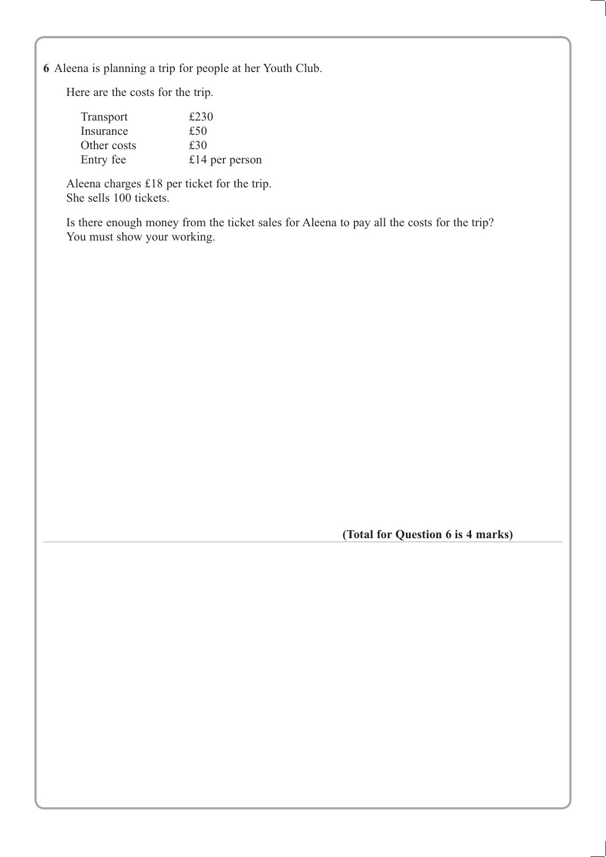**6** Aleena is planning a trip for people at her Youth Club.

Here are the costs for the trip.

| <b>Transport</b> | £230           |
|------------------|----------------|
| Insurance        | £50            |
| Other costs      | £30            |
| Entry fee        | £14 per person |

Aleena charges £18 per ticket for the trip. She sells 100 tickets.

Is there enough money from the ticket sales for Aleena to pay all the costs for the trip? You must show your working.

**(Total for Question 6 is 4 marks)**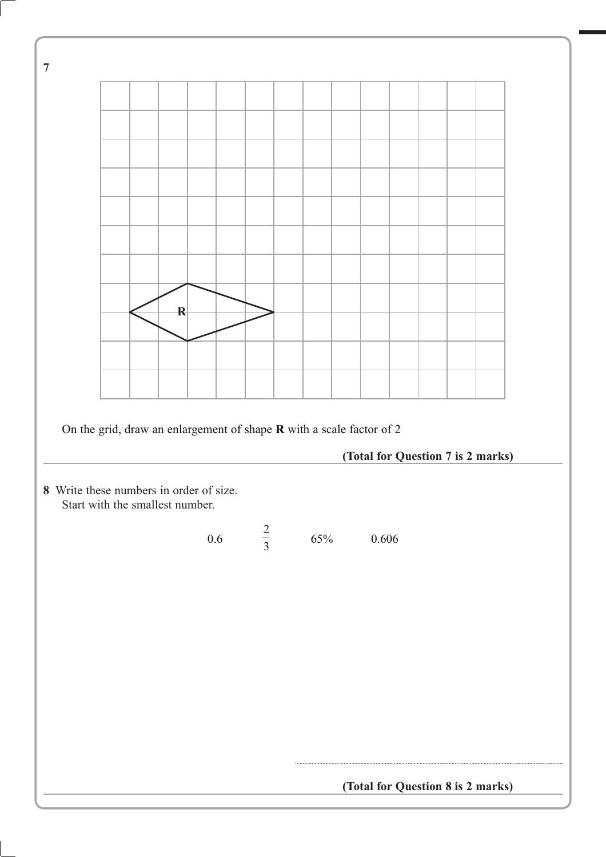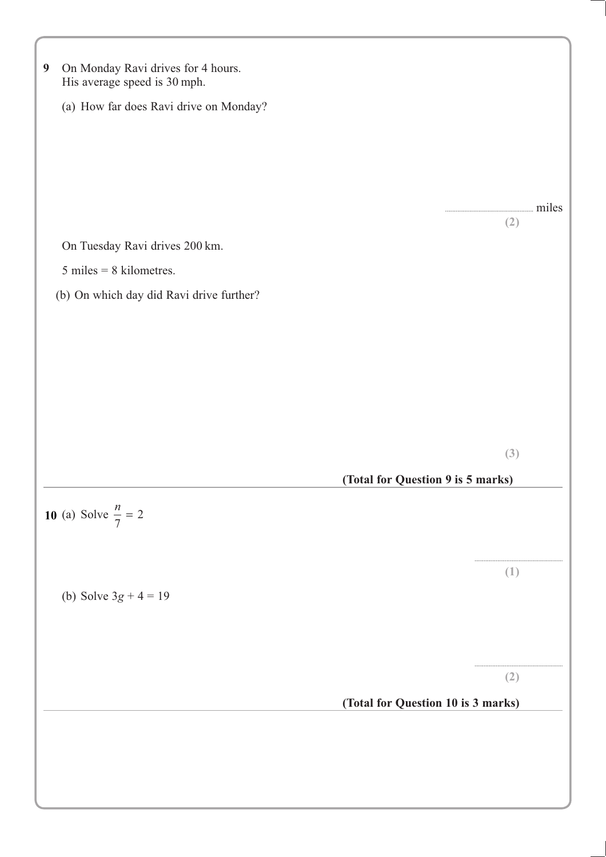| On Monday Ravi drives for 4 hours.<br>$\boldsymbol{9}$<br>His average speed is 30 mph. |                                    |       |
|----------------------------------------------------------------------------------------|------------------------------------|-------|
| (a) How far does Ravi drive on Monday?                                                 |                                    |       |
|                                                                                        |                                    |       |
|                                                                                        |                                    |       |
|                                                                                        |                                    |       |
|                                                                                        |                                    | miles |
|                                                                                        |                                    | (2)   |
| On Tuesday Ravi drives 200 km.                                                         |                                    |       |
| $5$ miles = 8 kilometres.                                                              |                                    |       |
| (b) On which day did Ravi drive further?                                               |                                    |       |
|                                                                                        |                                    |       |
|                                                                                        |                                    |       |
|                                                                                        |                                    |       |
|                                                                                        |                                    |       |
|                                                                                        |                                    |       |
|                                                                                        |                                    | (3)   |
|                                                                                        | (Total for Question 9 is 5 marks)  |       |
| <b>10</b> (a) Solve $\frac{n}{7} = 2$                                                  |                                    |       |
|                                                                                        |                                    |       |
|                                                                                        |                                    |       |
|                                                                                        |                                    | (1)   |
| (b) Solve $3g + 4 = 19$                                                                |                                    |       |
|                                                                                        |                                    |       |
|                                                                                        |                                    |       |
|                                                                                        |                                    | (2)   |
|                                                                                        | (Total for Question 10 is 3 marks) |       |
|                                                                                        |                                    |       |
|                                                                                        |                                    |       |
|                                                                                        |                                    |       |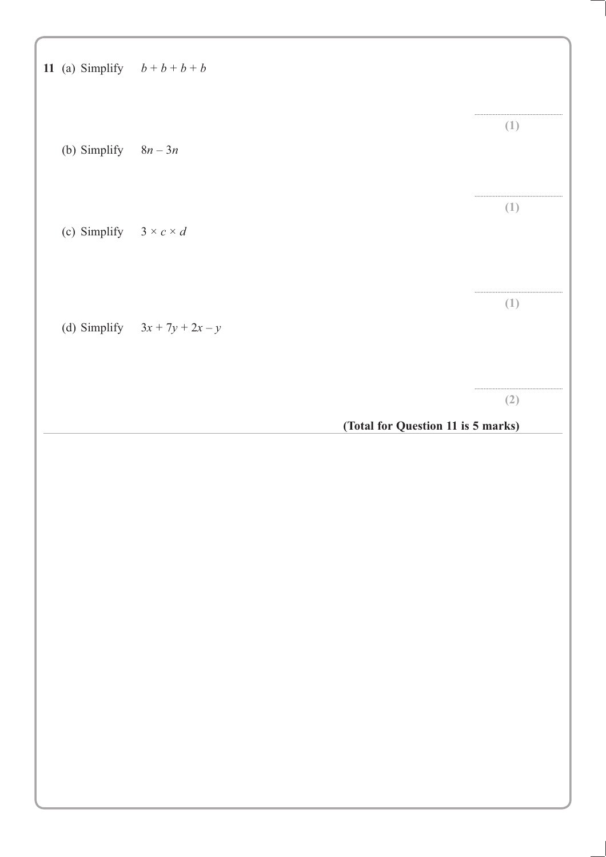| 11 (a) Simplify $b+b+b+b$          |                                    |     |
|------------------------------------|------------------------------------|-----|
| (b) Simplify $8n-3n$               |                                    | (1) |
| (c) Simplify $3 \times c \times d$ |                                    | (1) |
|                                    | (d) Simplify $3x + 7y + 2x - y$    | (1) |
|                                    |                                    | (2) |
|                                    |                                    |     |
|                                    | (Total for Question 11 is 5 marks) |     |
|                                    |                                    |     |
|                                    |                                    |     |
|                                    |                                    |     |
|                                    |                                    |     |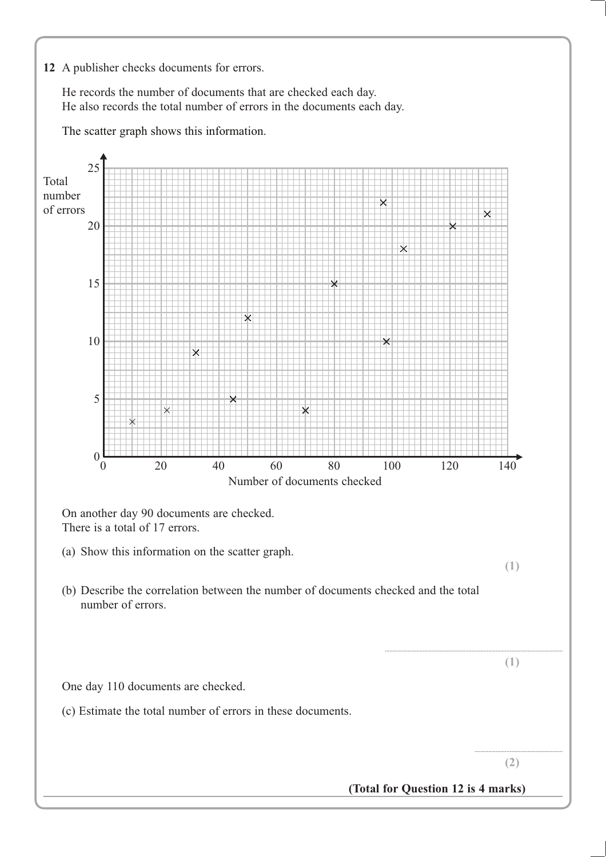#### **12** A publisher checks documents for errors.

He records the number of documents that are checked each day. He also records the total number of errors in the documents each day.

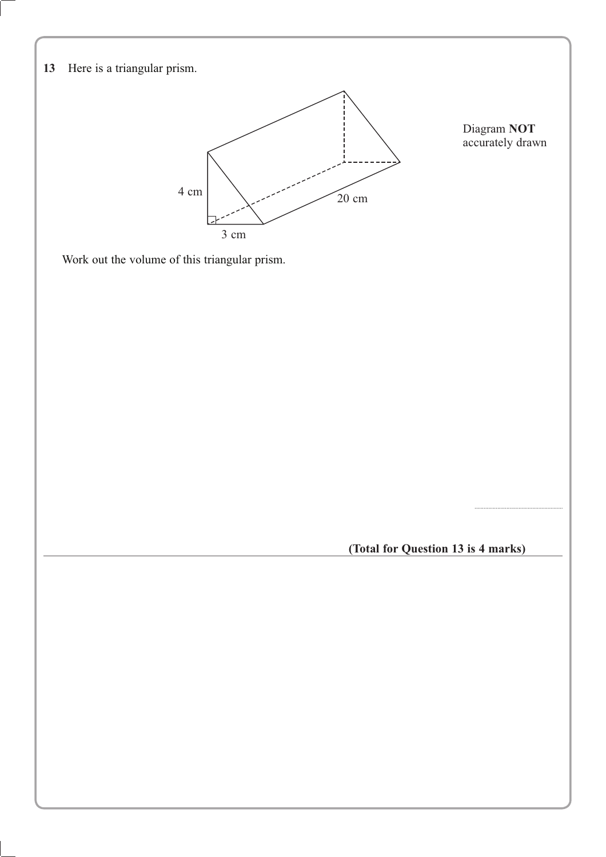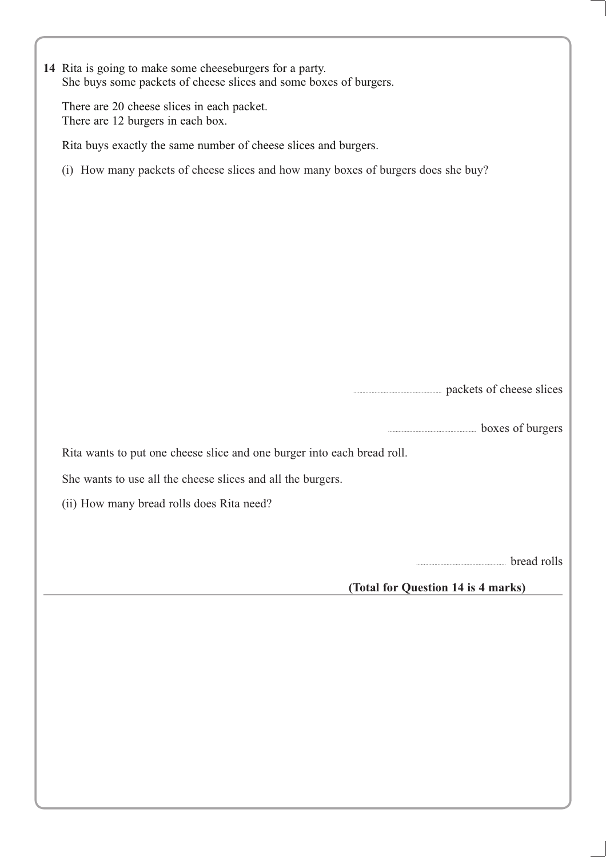| 14 Rita is going to make some cheeseburgers for a party.<br>She buys some packets of cheese slices and some boxes of burgers. |
|-------------------------------------------------------------------------------------------------------------------------------|
| There are 20 cheese slices in each packet.<br>There are 12 burgers in each box.                                               |
| Rita buys exactly the same number of cheese slices and burgers.                                                               |
| (i) How many packets of cheese slices and how many boxes of burgers does she buy?                                             |
|                                                                                                                               |
|                                                                                                                               |
|                                                                                                                               |
|                                                                                                                               |
|                                                                                                                               |
|                                                                                                                               |
|                                                                                                                               |
|                                                                                                                               |
| packets of cheese slices                                                                                                      |
|                                                                                                                               |
| boxes of burgers                                                                                                              |
| Rita wants to put one cheese slice and one burger into each bread roll.                                                       |
| She wants to use all the cheese slices and all the burgers.                                                                   |
| (ii) How many bread rolls does Rita need?                                                                                     |
|                                                                                                                               |
|                                                                                                                               |
| bread rolls                                                                                                                   |
| (Total for Question 14 is 4 marks)                                                                                            |
|                                                                                                                               |
|                                                                                                                               |
|                                                                                                                               |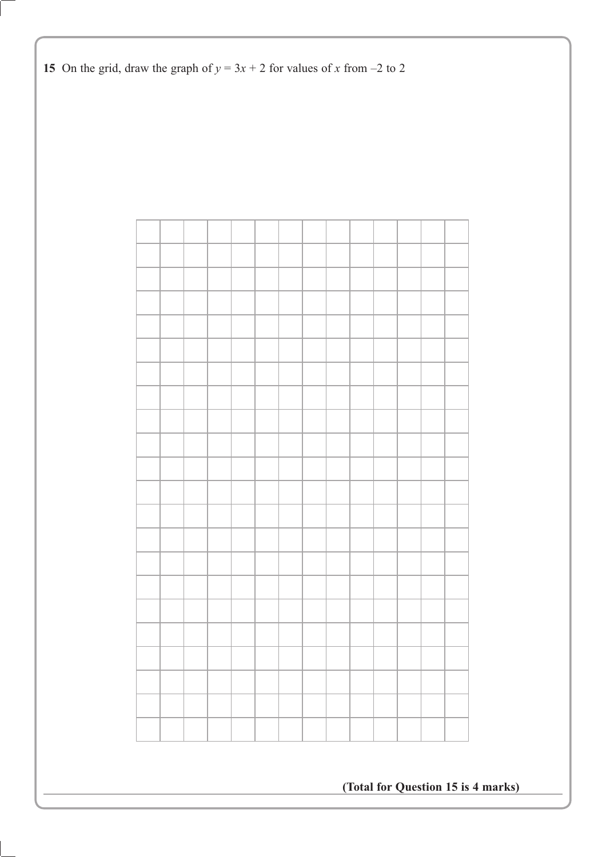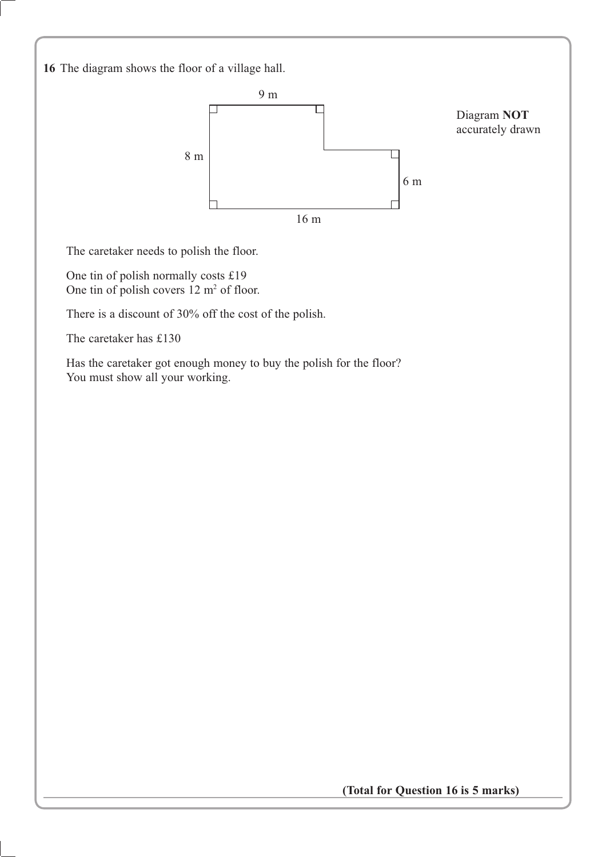**16** The diagram shows the floor of a village hall.



The caretaker needs to polish the floor.

One tin of polish normally costs £19 One tin of polish covers  $12 \text{ m}^2$  of floor.

There is a discount of 30% off the cost of the polish.

The caretaker has £130

Has the caretaker got enough money to buy the polish for the floor? You must show all your working.

**(Total for Question 16 is 5 marks)**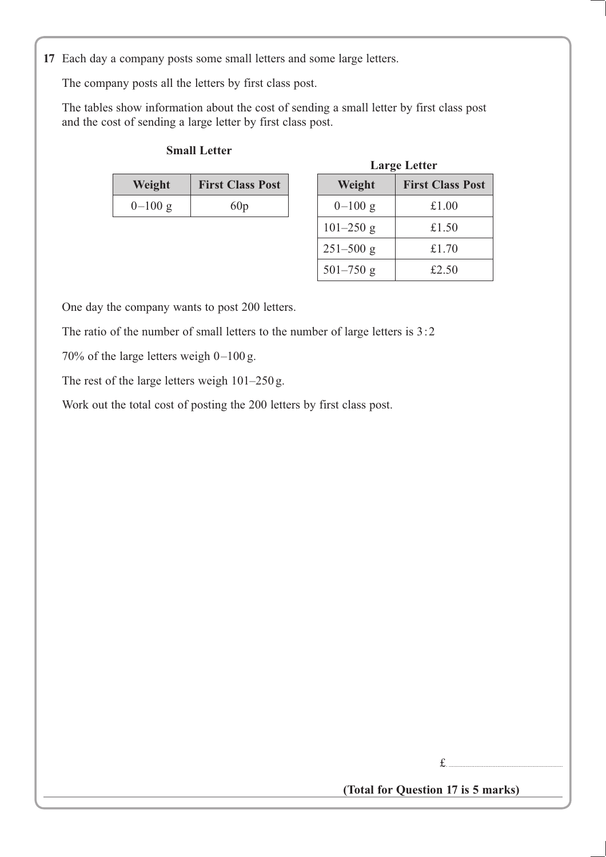**17** Each day a company posts some small letters and some large letters.

The company posts all the letters by first class post.

The tables show information about the cost of sending a small letter by first class post and the cost of sending a large letter by first class post.

#### **Small Letter**

| Weight    | <b>First Class Post</b> | Weight    | <b>First Class</b> |
|-----------|-------------------------|-----------|--------------------|
| $0-100$ g | 60p                     | $0-100$ g | £1.00              |
|           |                         |           |                    |

|          |                         |               | <b>Large Letter</b>     |
|----------|-------------------------|---------------|-------------------------|
| Weight   | <b>First Class Post</b> | Weight        | <b>First Class Post</b> |
| $-100 g$ | 60p                     | $0-100$ g     | £1.00                   |
|          |                         | $101 - 250$ g | £1.50                   |
|          |                         | $251 - 500$ g | £1.70                   |
|          |                         | $501 - 750$ g | £2.50                   |

One day the company wants to post 200 letters.

The ratio of the number of small letters to the number of large letters is 3:2

70% of the large letters weigh 0–100 g.

The rest of the large letters weigh 101–250 g.

Work out the total cost of posting the 200 letters by first class post.

£. ...........................................................................

**(Total for Question 17 is 5 marks)**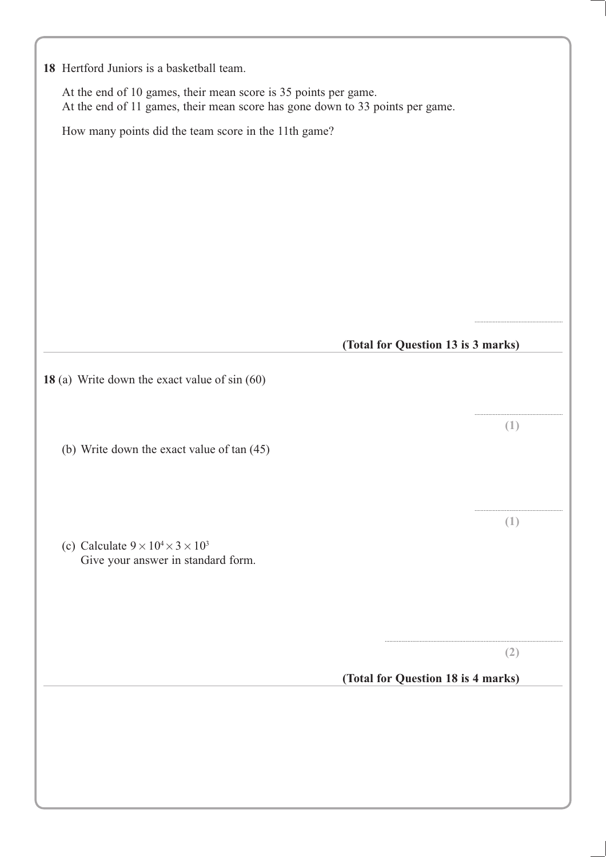| 18 Hertford Juniors is a basketball team.                                                                                                        |                                    |     |
|--------------------------------------------------------------------------------------------------------------------------------------------------|------------------------------------|-----|
| At the end of 10 games, their mean score is 35 points per game.<br>At the end of 11 games, their mean score has gone down to 33 points per game. |                                    |     |
| How many points did the team score in the 11th game?                                                                                             |                                    |     |
|                                                                                                                                                  |                                    |     |
|                                                                                                                                                  |                                    |     |
|                                                                                                                                                  |                                    |     |
|                                                                                                                                                  |                                    |     |
|                                                                                                                                                  |                                    |     |
|                                                                                                                                                  |                                    |     |
|                                                                                                                                                  |                                    |     |
|                                                                                                                                                  |                                    |     |
|                                                                                                                                                  |                                    |     |
|                                                                                                                                                  | (Total for Question 13 is 3 marks) |     |
|                                                                                                                                                  |                                    |     |
| 18 (a) Write down the exact value of $sin(60)$                                                                                                   |                                    |     |
|                                                                                                                                                  |                                    |     |
|                                                                                                                                                  |                                    | (1) |
| (b) Write down the exact value of tan (45)                                                                                                       |                                    |     |
|                                                                                                                                                  |                                    |     |
|                                                                                                                                                  |                                    |     |
|                                                                                                                                                  |                                    | (1) |
| (c) Calculate $9 \times 10^4 \times 3 \times 10^3$                                                                                               |                                    |     |
| Give your answer in standard form.                                                                                                               |                                    |     |
|                                                                                                                                                  |                                    |     |
|                                                                                                                                                  |                                    |     |
|                                                                                                                                                  |                                    |     |
|                                                                                                                                                  |                                    | (2) |
|                                                                                                                                                  | (Total for Question 18 is 4 marks) |     |
|                                                                                                                                                  |                                    |     |
|                                                                                                                                                  |                                    |     |
|                                                                                                                                                  |                                    |     |
|                                                                                                                                                  |                                    |     |
|                                                                                                                                                  |                                    |     |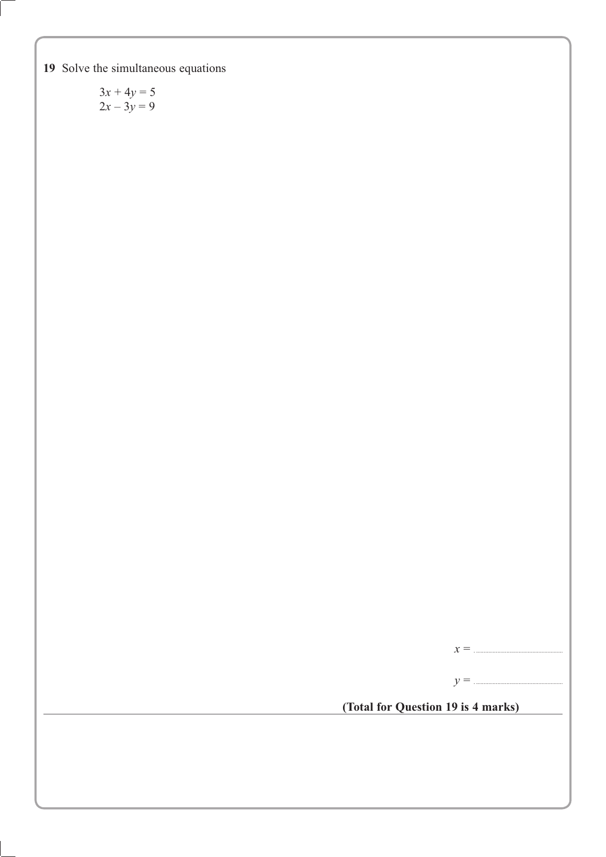**19** Solve the simultaneous equations

 $3x + 4y = 5$  $2x - 3y = 9$ 

*x* = . .........................................................

*y* = . .........................................................

**(Total for Question 19 is 4 marks)**